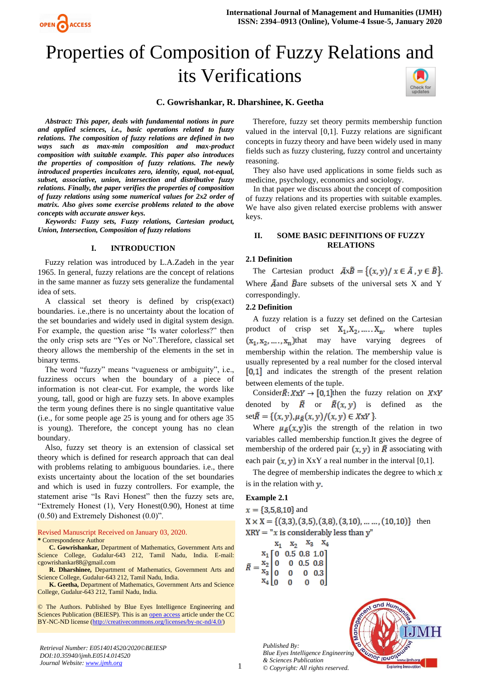



# Properties of Composition of Fuzzy Relations and its Verifications



## **C. Gowrishankar, R. Dharshinee, K. Geetha**

*Abstract: This paper, deals with fundamental notions in pure and applied sciences, i.e., basic operations related to fuzzy relations. The composition of fuzzy relations are defined in two ways such as max-min composition and max-product composition with suitable example. This paper also introduces the properties of composition of fuzzy relations. The newly introduced properties inculcates zero, identity, equal, not-equal, subset, associative, union, intersection and distributive fuzzy relations. Finally, the paper verifies the properties of composition of fuzzy relations using some numerical values for 2x2 order of matrix. Also gives some exercise problems related to the above concepts with accurate answer keys.*

*Keywords: Fuzzy sets, Fuzzy relations, Cartesian product, Union, Intersection, Composition of fuzzy relations*

#### **I. INTRODUCTION**

Fuzzy relation was introduced by L.A.Zadeh in the year 1965. In general, fuzzy relations are the concept of relations in the same manner as fuzzy sets generalize the fundamental idea of sets.

A classical set theory is defined by crisp(exact) boundaries. i.e.,there is no uncertainty about the location of the set boundaries and widely used in digital system design. For example, the question arise "Is water colorless?" then the only crisp sets are "Yes or No".Therefore, classical set theory allows the membership of the elements in the set in binary terms.

The word "fuzzy" means "vagueness or ambiguity", i.e., fuzziness occurs when the boundary of a piece of information is not clear-cut. For example, the words like young, tall, good or high are fuzzy sets. In above examples the term young defines there is no single quantitative value (i.e., for some people age 25 is young and for others age 35 is young). Therefore, the concept young has no clean boundary.

Also, fuzzy set theory is an extension of classical set theory which is defined for research approach that can deal with problems relating to ambiguous boundaries. *i.e.*, there exists uncertainty about the location of the set boundaries and which is used in fuzzy controllers. For example, the statement arise "Is Ravi Honest" then the fuzzy sets are, "Extremely Honest (1), Very Honest(0.90), Honest at time (0.50) and Extremely Dishonest (0.0)".

Revised Manuscript Received on January 03, 2020. **\*** Correspondence Author

**C. Gowrishankar,** Department of Mathematics, Government Arts and Science College, Gudalur-643 212, Tamil Nadu, India. E-mail: [cgowrishankar88@gmail.com](mailto:cgowrishankar88@gmail.com)

**R. Dharshinee,** Department of Mathematics, Government Arts and Science College, Gudalur-643 212, Tamil Nadu, India.

**K. Geetha,** Department of Mathematics, Government Arts and Science College, Gudalur-643 212, Tamil Nadu, India.

© The Authors. Published by Blue Eyes Intelligence Engineering and Sciences Publication (BEIESP). This is an [open access](https://www.openaccess.nl/en/open-publications) article under the CC BY-NC-ND license [\(http://creativecommons.org/licenses/by-nc-nd/4.0/\)](http://creativecommons.org/licenses/by-nc-nd/4.0/)

*Retrieval Number: E0514014520/2020©BEIESP DOI:10.35940/ijmh.E0514.014520 Journal Website[: www.ijmh.org](http://www.ijmh.org/)*

Therefore, fuzzy set theory permits membership function valued in the interval [0,1]. Fuzzy relations are significant concepts in fuzzy theory and have been widely used in many fields such as fuzzy clustering, fuzzy control and uncertainty reasoning.

They also have used applications in some fields such as medicine, psychology, economics and sociology.

In that paper we discuss about the concept of composition of fuzzy relations and its properties with suitable examples. We have also given related exercise problems with answer keys.

## **II. SOME BASIC DEFINITIONS OF FUZZY RELATIONS**

## **2.1 Definition**

The Cartesian product  $\tilde{A} \times \tilde{B} = \{(x, y) / x \in \tilde{A}, y \in \tilde{B}\}.$ Where  $\tilde{A}$  and  $\tilde{B}$  are subsets of the universal sets X and Y correspondingly.

#### **2.2 Definition**

A fuzzy relation is a fuzzy set defined on the Cartesian product of crisp set  $X_1, X_2, \ldots, X_n$ , where tuples  $(x_1, x_2, ..., x_n)$ that may have varying degrees of membership within the relation. The membership value is usually represented by a real number for the closed interval  $[0,1]$  and indicates the strength of the present relation between elements of the tuple.

Consider $\tilde{R}: X \times Y \to [0,1]$ then the fuzzy relation on  $X \times Y$ denoted by  $\tilde{R}$  or  $\tilde{R}(x, y)$  is defined as the  $set \tilde{R} = \{(x, y), \mu_{\tilde{R}}(x, y)/(x, y) \in X \times Y\}.$ 

Where  $\mu_{\tilde{p}}(x, y)$  is the strength of the relation in two variables called membership function.It gives the degree of membership of the ordered pair  $(x, y)$  in  $\tilde{R}$  associating with each pair  $(x, y)$  in XxY a real number in the interval [0,1].

The degree of membership indicates the degree to which  $x$ is in the relation with  $y$ .

#### **Example 2.1**

 $x = \{3, 5, 8, 10\}$  and  $X \times X = \{(3,3), (3,5), (3,8), (3,10), \ldots, (10,10)\}\)$  then  $XRY = "x$  is considerably less than y"

|             |                                                                                                                                                                                               |  | $X_1$ $X_2$ $X_3$ $X_4$ |  |
|-------------|-----------------------------------------------------------------------------------------------------------------------------------------------------------------------------------------------|--|-------------------------|--|
|             |                                                                                                                                                                                               |  |                         |  |
| $\tilde{R}$ |                                                                                                                                                                                               |  |                         |  |
|             |                                                                                                                                                                                               |  |                         |  |
|             | $=\begin{bmatrix} x_1 \\ x_2 \\ x_3 \\ x_4 \\ 0 \end{bmatrix} \begin{bmatrix} 0 & 0.5 & 0.8 & 1.0 \\ 0 & 0 & 0.5 & 0.8 \\ 0 & 0 & 0 & 0.3 \\ 0 & 0 & 0 & 0 \\ 0 & 0 & 0 & 0 \\ \end{bmatrix}$ |  |                         |  |

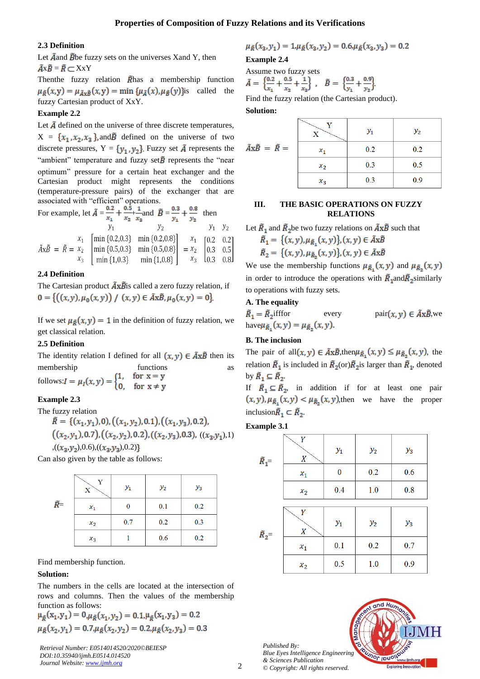## **2.3 Definition**

Let  $\tilde{A}$  and  $\tilde{B}$ be fuzzy sets on the universes Xand Y, then  $\tilde{A} \times \tilde{B} = \tilde{R} \subset X \times Y$ 

Then the fuzzy relation  $\tilde{R}$  has a membership function  $\mu_{\tilde{B}}(x,y) = \mu_{\tilde{A}x\tilde{B}}(x,y) = \min \{ \mu_{\tilde{A}}(x), \mu_{\tilde{B}}(y) \}$ is called the fuzzy Cartesian product of XxY.

## **Example 2.2**

Let  $\tilde{A}$  defined on the universe of three discrete temperatures,  $X = \{x_1, x_2, x_3\}$ , and  $\tilde{B}$  defined on the universe of two discrete pressures,  $Y = {y_1, y_2}$ . Fuzzy set  $\tilde{A}$  represents the "ambient" temperature and fuzzy set $\tilde{B}$  represents the "near optimum" pressure for a certain heat exchanger and the Cartesian product might represents the conditions (temperature-pressure pairs) of the exchanger that are associated with "efficient" operations.

For example, let 
$$
\tilde{A} = \frac{0.2}{x_1} + \frac{0.5}{x_2} + \frac{1}{x_3}
$$
 and  $\tilde{B} = \frac{0.3}{y_1} + \frac{0.8}{y_2}$  then  
\n $y_1$   $y_2$   $y_1$   $y_2$   
\n $\tilde{A}x\tilde{B} = \tilde{R} = x_2$ \n
$$
\begin{bmatrix}\n\min\{0.2, 0.3\} & \min\{0.2, 0.8\} \\
\min\{0.5, 0.3\} & \min\{0.5, 0.8\} \\
\min\{1, 0.3\} & \min\{1, 0.8\}\n\end{bmatrix} = \begin{bmatrix}\nx_1 \\
x_2 \\
x_3\n\end{bmatrix} \begin{bmatrix}\n0.2 & 0.2 \\
0.3 & 0.5 \\
0.3 & 0.5 \\
0.3 & 0.8\n\end{bmatrix}
$$

#### **2.4 Definition**

The Cartesian product  $\tilde{A} \times \tilde{B}$  is called a zero fuzzy relation, if  $0 = \{((x,y), \mu_0(x,y)) \mid (x,y) \in \tilde{A} \times \tilde{B}, \mu_0(x,y) = 0\}$ 

If we set  $\mu_{\tilde{B}}(x, y) = 1$  in the definition of fuzzy relation, we get classical relation.

#### **2.5 Definition**

The identity relation I defined for all  $(x, y) \in \tilde{A} \times \tilde{B}$  then its membership functions as follows: $I = \mu_I(x, y) = \begin{cases} 1, & \text{for } x = y \\ 0, & \text{for } x \neq y \end{cases}$ 

#### **Example 2.3**

The fuzzy relation  
\n
$$
\tilde{R} = \{ (x_1, y_1), 0), ((x_1, y_2), 0.1), ((x_1, y_3), 0.2),
$$
\n
$$
((x_2, y_1), 0.7), ((x_2, y_2), 0.2), ((x_2, y_3), 0.3), ((x_3, y_1), 1)
$$
\n
$$
((x_3, y_2), 0.6), ((x_3, y_3), 0.2) \}
$$

Can also given by the table as follows:

|              | Y<br>x | $y_1$ | $y_2$ | $y_3$ |
|--------------|--------|-------|-------|-------|
| $\tilde{R}-$ | $x_1$  | 0     | 0.1   | 0.2   |
|              | $x_2$  | 0.7   | 0.2   | 0.3   |
|              | $x_3$  |       | 0.6   | 0.2   |

Find membership function.

#### **Solution:**

The numbers in the cells are located at the intersection of rows and columns. Then the values of the membership function as follows:

$$
\mu_{\tilde{R}}(x_1, y_1) = 0, \mu_{\tilde{R}}(x_1, y_2) = 0.1, \mu_{\tilde{R}}(x_1, y_3) = 0.2
$$
  

$$
\mu_{\tilde{R}}(x_2, y_1) = 0.7, \mu_{\tilde{R}}(x_2, y_2) = 0.2, \mu_{\tilde{R}}(x_2, y_3) = 0.3
$$

*Retrieval Number: E0514014520/2020©BEIESP DOI:10.35940/ijmh.E0514.014520 Journal Website[: www.ijmh.org](http://www.ijmh.org/)*

$$
\mu_{\tilde{R}}(x_3, y_1) = 1, \mu_{\tilde{R}}(x_3, y_2) = 0.6, \mu_{\tilde{R}}(x_3, y_3) = 0.2
$$

**Example 2.4**

Assume two fuzzy sets  
\n
$$
\tilde{A} = \left\{ \frac{0.2}{x_1} + \frac{0.5}{x_2} + \frac{1}{x_3} \right\}, \quad \tilde{B} = \left\{ \frac{0.3}{y_1} + \frac{0.9}{y_2} \right\}.
$$

Find the fuzzy relation (the Cartesian product).

#### **Solution:**

|                                          |       | $y_1$ | $y_2$ |
|------------------------------------------|-------|-------|-------|
| $ilde{A} \times \tilde{B} = \tilde{R} =$ | $x_1$ | 0.2   | 0.2   |
|                                          | $x_2$ | 0.3   | 0.5   |
|                                          | $x_3$ | 0.3   | 0.9   |

## **III. THE BASIC OPERATIONS ON FUZZY RELATIONS**

Let 
$$
\tilde{R}_1
$$
 and  $\tilde{R}_2$  be two fuzzy relations on  $\tilde{A}x\tilde{B}$  such that  
\n
$$
\tilde{R}_1 = \{(x, y), \mu_{\tilde{R}_1}(x, y)\}, (x, y) \in \tilde{A}x\tilde{B}
$$
\n
$$
\tilde{R}_2 = \{(x, y), \mu_{\tilde{R}_2}(x, y)\}, (x, y) \in \tilde{A}x\tilde{B}
$$

We use the membership functions  $\mu_{\tilde{R}_1}(x, y)$  and  $\mu_{\tilde{R}_2}(x, y)$ in order to introduce the operations with  $\tilde{R}_1$  and  $\tilde{R}_2$  similarly to operations with fuzzy sets.

#### **A. The equality**

 $\tilde{R}_1 = \tilde{R}_2$ ifffor every  $\text{pair}(x, y) \in \tilde{A} \times \tilde{B}$ , we have $\mu_{\tilde{R}_1}(x, y) = \mu_{\tilde{R}_2}(x, y)$ .

## **B. The inclusion**

The pair of all  $(x, y) \in \tilde{A} \times \tilde{B}$ , then  $\mu_{\tilde{R}_1}(x, y) \leq \mu_{\tilde{R}_2}(x, y)$ , the relation  $\tilde{R}_1$  is included in  $\tilde{R}_2$ (or) $\tilde{R}_2$  is larger than  $\tilde{R}_1$ , denoted by  $\widetilde{R}_1 \subseteq \widetilde{R}_2$ .

If  $\tilde{R}_1 \subseteq \tilde{R}_2$ , in addition if for at least one pair  $(x, y), \mu_{\tilde{R}_1}(x, y) < \mu_{\tilde{R}_2}(x, y)$ , then we have the proper inclusion $\tilde{R}_1 \subset \tilde{R}_2$ .

## **Example 3.1**

| $\tilde{R}_1 =$ | Y<br>X                | $y_1$ | $y_2$ | $y_3$ |
|-----------------|-----------------------|-------|-------|-------|
|                 | $x_1$                 | 0     | 0.2   | 0.6   |
|                 | $x_2$                 | 0.4   | 1.0   | 0.8   |
|                 |                       |       |       |       |
| $\tilde{R}_2$ = | Y<br>$\boldsymbol{X}$ | $y_1$ | $y_2$ | $y_3$ |
|                 | $x_1$                 | 0.1   | 0.2   | 0.7   |
|                 | $x_2$                 | 0.5   | 1.0   | 0.9   |

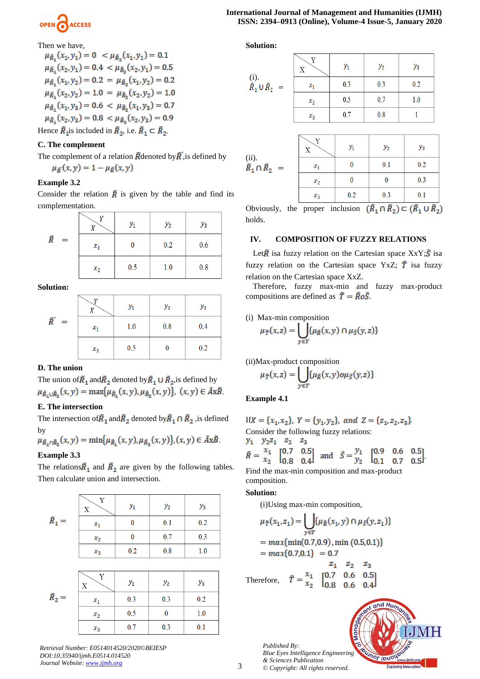

Then we have,  
\n
$$
\mu_{\tilde{R}_1}(x_1, y_1) = 0 < \mu_{\tilde{R}_2}(x_1, y_1) = 0.1
$$
\n
$$
\mu_{\tilde{R}_1}(x_2, y_1) = 0.4 < \mu_{\tilde{R}_2}(x_2, y_1) = 0.5
$$
\n
$$
\mu_{\tilde{R}_1}(x_1, y_2) = 0.2 = \mu_{\tilde{R}_2}(x_1, y_2) = 0.2
$$
\n
$$
\mu_{\tilde{R}_1}(x_2, y_2) = 1.0 = \mu_{\tilde{R}_2}(x_2, y_2) = 1.0
$$
\n
$$
\mu_{\tilde{R}_1}(x_1, y_3) = 0.6 < \mu_{\tilde{R}_2}(x_1, y_3) = 0.7
$$
\n
$$
\mu_{\tilde{R}_1}(x_2, y_3) = 0.8 < \mu_{\tilde{R}_2}(x_2, y_3) = 0.9
$$
\nHence  $\tilde{R}_1$  is included in  $\tilde{R}_2$ , i.e.  $\tilde{R}_1 \subset \tilde{R}_2$ .

## **C. The complement**

The complement of a relation  $\tilde{R}$  denoted by  $\tilde{R}$ , is defined by  $\mu_{\tilde{R}}(x, y) = 1 - \mu_{\tilde{R}}(x, y)$ 

## **Example 3.2**

Consider the relation  $\overline{R}$  is given by the table and find its complementation.

|          |       | $y_1$ | $y_2$ | $y_3$ |
|----------|-------|-------|-------|-------|
| Ř<br>$=$ | $x_1$ |       | 0.2   | 0.6   |
|          | $x_2$ | 0.5   | 1.0   | 0.8   |

**Solution:**

|           |       | $y_1$ | $y_2$ | $y_3$ |
|-----------|-------|-------|-------|-------|
| ñ'<br>$=$ | $x_1$ | 1.0   | 0.8   | 0.4   |
|           | $x_2$ | 0.5   |       | 0.2   |

## **D. The union**

The union of  $\tilde{R}_1$  and  $\tilde{R}_2$  denoted by  $\tilde{R}_1 \cup \tilde{R}_2$ , is defined by  $\mu_{\tilde{R}_1 \cup \tilde{R}_2}(x, y) = \max{\mu_{\tilde{R}_1}(x, y), \mu_{\tilde{R}_2}(x, y)}, (x, y) \in \tilde{A}x\tilde{B}.$ 

#### **E. The intersection**

The intersection of  $\tilde{R}_1$  and  $\tilde{R}_2$  denoted by  $\tilde{R}_1 \cap \tilde{R}_2$  is defined by

$$
\mu_{\tilde{R}_1 \cap \tilde{R}_2}(x, y) = \min \{ \mu_{\tilde{R}_1}(x, y), \mu_{\tilde{R}_2}(x, y) \}, (x, y) \in \tilde{A}x\tilde{B}.
$$

## **Example 3.3**

The relations  $\tilde{R}_1$  and  $\tilde{R}_2$  are given by the following tables. Then calculate union and intersection.

|                 | Y<br>X                       | $y_1$    | $y_2$    | $y_3$ |
|-----------------|------------------------------|----------|----------|-------|
| $\tilde{R}_1 =$ | $x_1\,$                      | $\bf{0}$ | 0.1      | 0.2   |
|                 | $x_2$                        | $\bf{0}$ | 0.7      | 0.3   |
|                 | $x_3$                        | 0.2      | 0.8      | 1.0   |
|                 |                              |          |          |       |
|                 | Y<br>$\overline{\mathbf{X}}$ | $y_1$    | $y_2$    | $y_3$ |
| $\tilde{R}_2 =$ | $x_1$                        | 0.3      | 0.3      | 0.2   |
|                 | $x_2$                        | 0.5      | $\bf{0}$ | 1.0   |
|                 | $x_3$                        | 0.7      | 0.3      | 0.1   |

*Retrieval Number: E0514014520/2020©BEIESP DOI:10.35940/ijmh.E0514.014520 Journal Website[: www.ijmh.org](http://www.ijmh.org/)*

**Solution:**

|                                          |       | $y_1$ | $y_2$ | $y_3$ |
|------------------------------------------|-------|-------|-------|-------|
| (i).<br>$\tilde{R}_1 \cup \tilde{R}_2 =$ | $x_1$ | 0.3   | 0.3   | 0.2   |
|                                          | $x_2$ | 0.5   | 0.7   | 1.0   |
|                                          | $x_3$ | 0.7   | 0.8   |       |

|   |       | $y_1$ | $y_2$ | $y_3$ |
|---|-------|-------|-------|-------|
| Ξ | $x_1$ |       | 0.1   | 0.2   |
|   | $x_2$ |       |       | 0.3   |
|   | $x_3$ | 0.2   | 0.3   | 0.1   |

Obviously, the proper inclusion  $(\tilde{R}_1 \cap \tilde{R}_2) \subset (\tilde{R}_1 \cup \tilde{R}_2)$ holds.

## **IV. COMPOSITION OF FUZZY RELATIONS**

Let  $\tilde{R}$  is a fuzzy relation on the Cartesian space  $XXY$ ;  $\tilde{S}$  is a fuzzy relation on the Cartesian space YxZ;  $\tilde{T}$  isa fuzzy relation on the Cartesian space XxZ.

Therefore, fuzzy max-min and fuzzy max-product compositions are defined as  $\tilde{T} = \tilde{R}o\tilde{S}$ .

(i) Max-min composition

$$
\mu_{\tilde{T}}(x,z) = \bigcup_{y \in Y} \{ \mu_{\tilde{R}}(x,y) \cap \mu_{\tilde{S}}(y,z) \}
$$

(ii)Max-product composition

$$
\mu_{\tilde{T}}(x,z) = \bigcup_{y \in Y} \{ \mu_{\tilde{R}}(x,y) o \mu_{\tilde{S}}(y,z) \}
$$

## **Example 4.1**

If  $X = \{x_1, x_2\}$ ,  $Y = \{y_1, y_2\}$ , and  $Z = \{z_1, z_2, z_3\}$ . Consider the following fuzzy relations:  $y_1$   $y_2z_1$   $z_2$   $z_3$  $\tilde{R} = \frac{x_1}{x_2} \begin{bmatrix} 0.7 & 0.5 \\ 0.8 & 0.4 \end{bmatrix}$  and  $\tilde{S} = \frac{y_1}{y_2} \begin{bmatrix} 0.9 & 0.6 & 0.5 \\ 0.1 & 0.7 & 0.5 \end{bmatrix}$ 

Find the max-min composition and max-product composition.

#### **Solution:**

(i)Using max-min composition,

$$
\mu_{\tilde{T}}(x_1, z_1) = \bigcup_{y \in Y} \{ \mu_{\tilde{R}}(x_1, y) \cap \mu_{\tilde{S}}(y, z_1) \}
$$
  
= 
$$
max \{ min(0.7, 0.9), min(0.5, 0.1) \}
$$
  
= 
$$
max \{ 0.7, 0.1 \} = 0.7
$$
  

$$
z_1 \quad z_2 \quad z_3
$$
  

$$
z_4 \quad 10.7 \quad 0.6 \quad 0.51
$$

Therefore,  $\tilde{T} = \frac{x_1}{x_2} \begin{bmatrix} 0.7 & 0.0 & 0.0 \\ 0.8 & 0.6 & 0.4 \end{bmatrix}$ 

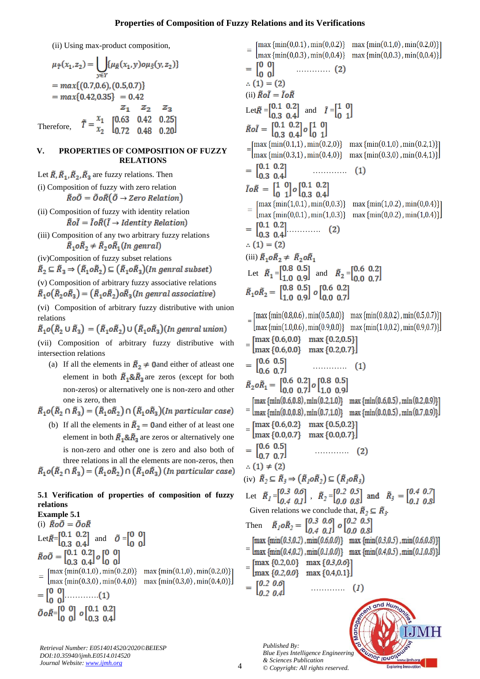## **Properties of Composition of Fuzzy Relations and its Verifications**

(ii) Using max-product composition,

$$
\mu_{\tilde{T}}(x_1, z_2) = \bigcup_{y \in Y} \{ \mu_{\tilde{R}}(x_1, y) \circ \mu_{\tilde{S}}(y, z_2) \}
$$
  
= 
$$
\max \{ (0.7, 0.6), (0.5, 0.7) \}
$$
  
= 
$$
\max \{ 0.42, 0.35 \} = 0.42
$$
  

$$
z_1 \quad z_2 \quad z_3
$$
  
Therefore, 
$$
\tilde{T} = \frac{x_1}{x_2} \begin{bmatrix} 0.63 & 0.42 & 0.25 \\ 0.72 & 0.48 & 0.20 \end{bmatrix}
$$

## **V. PROPERTIES OF COMPOSITION OF FUZZY RELATIONS**

Let  $\tilde{R}, \tilde{R}_1, \tilde{R}_2, \tilde{R}_3$  are fuzzy relations. Then (i) Composition of fuzzy with zero relation

 $\tilde{R}o\tilde{O} = \tilde{O}o\tilde{R}(\tilde{O} \rightarrow Zero Relation)$ 

- (ii) Composition of fuzzy with identity relation  $\tilde{R}o\tilde{I} = \tilde{I}o\tilde{R}(\tilde{I} \rightarrow Identity Relation)$
- (iii) Composition of any two arbitrary fuzzy relations  $\widetilde{R}_1$ o $\widetilde{R}_2 \neq \widetilde{R}_2$ o $\widetilde{R}_1$ (In genral)

(iv)Composition of fuzzy subset relations

 $\tilde{R}_2 \subseteq \tilde{R}_3 \Rightarrow (\tilde{R}_1 o \tilde{R}_2) \subseteq (\tilde{R}_1 o \tilde{R}_3)(\text{In general subset})$ 

(v) Composition of arbitrary fuzzy associative relations  $\tilde{R}_1$ o $(\tilde{R}_2$ o $\tilde{R}_3) = (\tilde{R}_1$ o $\tilde{R}_2)$ o $\tilde{R}_3$ (In genral associative)

(vi) Composition of arbitrary fuzzy distributive with union relations

 $\tilde{R}_1$ o $(\tilde{R}_2 \cup \tilde{R}_2) = (\tilde{R}_1 o \tilde{R}_2) \cup (\tilde{R}_1 o \tilde{R}_2)$  (In genral union)

(vii) Composition of arbitrary fuzzy distributive with intersection relations

(a) If all the elements in  $\tilde{R}_2 \neq 0$  and either of atleast one element in both  $\tilde{R}_1 \& \tilde{R}_2$  are zeros (except for both non-zeros) or alternatively one is non-zero and other one is zero, then

 $\tilde{R}_1$ o $(\tilde{R}_2 \cap \tilde{R}_3) = (\tilde{R}_1 o \tilde{R}_2) \cap (\tilde{R}_1 o \tilde{R}_3)$ (In particular case)

(b) If all the elements in  $\tilde{R}_2 = 0$  and either of at least one element in both  $\tilde{R}_1 \& \tilde{R}_3$  are zeros or alternatively one is non-zero and other one is zero and also both of three relations in all the elements are non-zeros, then  $\tilde{R}_1 o(\tilde{R}_2 \cap \tilde{R}_3) = (\tilde{R}_1 o \tilde{R}_2) \cap (\tilde{R}_1 o \tilde{R}_3)$  (In particular case)

#### **5.1 Verification of properties of composition of fuzzy relations Example 5.1**

$$
\begin{aligned}\n\text{Example 3.1} \\
\text{(i) } \tilde{R}o\tilde{O} &= \tilde{O}o\tilde{R} \\
\text{Let } \tilde{R} = \begin{bmatrix} 0.1 & 0.2 \\ 0.3 & 0.4 \end{bmatrix} \text{ and } \tilde{O} = \begin{bmatrix} 0 & 0 \\ 0 & 0 \end{bmatrix} \\
\tilde{R}o\tilde{O} &= \begin{bmatrix} 0.1 & 0.2 \\ 0.3 & 0.4 \end{bmatrix} o \begin{bmatrix} 0 & 0 \\ 0 & 0 \end{bmatrix} \\
&= \begin{bmatrix} \max \{\min(0.1,0), \min(0.2,0)\} & \max \{\min(0.1,0), \min(0.2,0)\} \\ \max \{\min(0.3,0), \min(0.4,0)\} & \max \{\min(0.3,0), \min(0.4,0)\} \end{bmatrix} \\
&= \begin{bmatrix} 0 & 0 \\ 0 & 0 \end{bmatrix} & \dots & \dots & \dots & \dots & \dots \\
0 & 0 & 0 & 0.3 & 0.4 \end{bmatrix}\n\end{aligned}
$$

*Retrieval Number: E0514014520/2020©BEIESP DOI:10.35940/ijmh.E0514.014520 Journal Website[: www.ijmh.org](http://www.ijmh.org/)*

 $\begin{bmatrix} \max\left\{ \min(0.0.1), \min(0.0.2) \right\} & \max\left\{ \min(0.1.0), \min(0.2.0) \right\} \\ \max\left\{ \min(0.0.3), \min(0.0.4) \right\} & \max\left\{ \min(0.0.3), \min(0.0.4) \right\} \end{bmatrix}$  $= \begin{bmatrix} 0 & 0 \\ 0 & 0 \end{bmatrix}$  .…………  $\therefore$  (1) = (2) (ii)  $\tilde{R}o\tilde{I} = \tilde{I}o\tilde{R}$ Let  $\tilde{R} = \begin{bmatrix} 0.1 & 0.2 \\ 0.3 & 0.4 \end{bmatrix}$  and  $\tilde{I} = \begin{bmatrix} 1 & 0 \\ 0 & 1 \end{bmatrix}$  $\tilde{R}o\tilde{I}=\begin{bmatrix} 0.1 & 0.2 \\ 0.3 & 0.4 \end{bmatrix} o\begin{bmatrix} 1 & 0 \\ 0 & 1 \end{bmatrix}$ [max {min(0.1,1), min(0.2,0)} max {min(0.1,0), min(0.2,1)}]  $\left[\max \{\min(0.3,1), \min(0.4,0)\}\right]$  max  $\left\{\min(0.3,0), \min(0.4,1)\right\}$  $=$   $\begin{bmatrix} 0.1 & 0.2 \\ 0.3 & 0.4 \end{bmatrix}$  ………….  $\tilde{I}o\tilde{R} = \begin{bmatrix} 1 & 0 \\ 0 & 1 \end{bmatrix} o \begin{bmatrix} 0.1 & 0.2 \\ 0.3 & 0.4 \end{bmatrix}$ <br>=  $\begin{bmatrix} \max \{\min(1,0.1), \min(0,0.3)\} & \max \{\min(1,0.2), \min(0,0.4)\} \end{bmatrix}$  $\left[\max\{\min(0,0.1),\min(1,0.3)\}\right]$  max  $\left\{\min(0,0.2),\min(1,0.4)\right\}$  $= \begin{bmatrix} 0.1 & 0.2 \\ 0.3 & 0.4 \end{bmatrix} \dots \dots \dots \dots \quad (2)$  $(1) = (2)$ (iii)  $\tilde{R}_1 o \tilde{R}_2 \neq \tilde{R}_2 o \tilde{R}_1$ Let  $\tilde{R}_1 = \begin{bmatrix} 0.8 & 0.5 \\ 1.0 & 0.9 \end{bmatrix}$  and  $\tilde{R}_2 = \begin{bmatrix} 0.6 & 0.2 \\ 0.0 & 0.7 \end{bmatrix}$ <br>  $\tilde{R}_1 o \tilde{R}_2 = \begin{bmatrix} 0.8 & 0.5 \\ 1.0 & 0.9 \end{bmatrix} o \begin{bmatrix} 0.6 & 0.2 \\ 0.0 & 0.7 \end{bmatrix}$ [max  $\{\min(0.8, 0.6), \min(0.5, 0.0)\}$  max  $\{\min(0.8, 0.2), \min(0.5, 0.7)\}\$  $\left[\max \{\min(1.0, 0.6), \min(0.9, 0.0)\}\right]$  max  $\left\{\min(1.0, 0.2), \min(0.9, 0.7)\}\right]$  $=\begin{bmatrix} \max\left\{0.6, 0.0\right\} & \max\left\{0.2, 0.5\right\} \\ \max\left\{0.6, 0.0\right\} & \max\left\{0.2, 0.7\right\} \end{bmatrix}$  $=$   $\begin{bmatrix} 0.6 & 0.5 \\ 0.6 & 0.7 \end{bmatrix}$  ………….  $\tilde{R}_2o\tilde{R}_1=\begin{bmatrix} 0.6 & 0.2\\ 0.0 & 0.7 \end{bmatrix}o\begin{bmatrix} 0.8 & 0.5\\ 1.0 & 0.9 \end{bmatrix}$  ${\max \{ \min(0.6, 0.8), \min(0.2, 1.0) \}}$  max  ${\min(0.6, 0.5), \min(0.2, 0.9) \}}$ =  $\left[\max \{\min(0.0, 0.8), \min(0.7, 1.0)\}\right]$  max  $\left[\min(0.0, 0.5), \min(0.7, 0.9)\right]$  $=\begin{bmatrix} \max\left\{0.6, 0.2\right\} & \max\left\{0.5, 0.2\right\} \\ \max\left\{0.0, 0.7\right\} & \max\left\{0.0, 0.7\right\} \end{bmatrix}$  ………….  $(1) \neq (2)$ (iv)  $\tilde{R}_2 \subseteq \tilde{R}_3 \Rightarrow (\tilde{R}_1 o \tilde{R}_2) \subseteq (\tilde{R}_1 o \tilde{R}_3)$ Let  $\tilde{R}_1 = \begin{bmatrix} 0.3 & 0.6 \\ 0.4 & 0.1 \end{bmatrix}$ ,  $\tilde{R}_2 = \begin{bmatrix} 0.2 & 0.5 \\ 0.0 & 0.8 \end{bmatrix}$  and  $\tilde{R}_3 = \begin{bmatrix} 0.4 & 0.7 \\ 0.1 & 0.8 \end{bmatrix}$ Given relations we conclude that,  $\tilde{R}_2 \subseteq \tilde{R}_3$ . Then  $\tilde{R}_I \circ \tilde{R}_2 = \begin{bmatrix} 0.3 & 0.0 \\ 0.4 & 0.1 \end{bmatrix} \circ \begin{bmatrix} 0.2 & 0.5 \\ 0.0 & 0.8 \end{bmatrix}$ <br>
[max {min(0.3,0.2) , min(0.6,0.0)} max {min(0.3,0.5) , min(0.6,0.8)}] = = =  $\begin{bmatrix} 0.2 & 0.0 \\ 0.2 & 0.4 \end{bmatrix}$  (1)

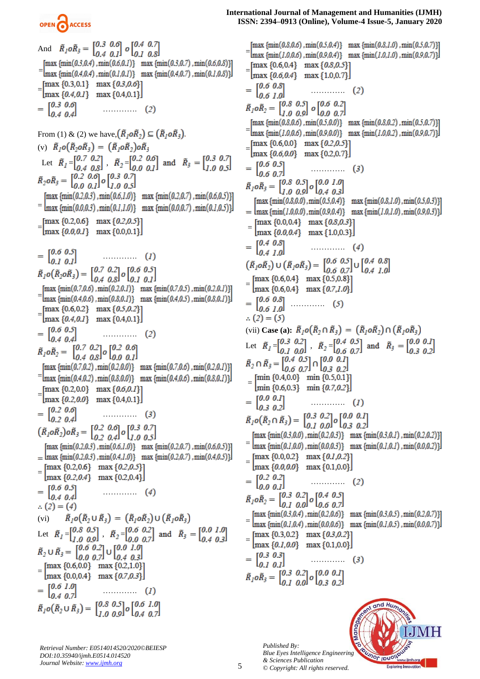

## And  $\tilde{R}_1 o \tilde{R}_3 = \begin{bmatrix} 0.3 & 0.0 \\ 0.4 & 0.1 \end{bmatrix} o \begin{bmatrix} 0.4 & 0.7 \\ 0.1 & 0.8 \end{bmatrix}$  $\begin{array}{lll}\n\text{[max}\{\text{min}(0.3,0.4), \text{min}(0.6,0.1)\} & \text{max}\,\{\text{min}(0.3,0.7), \text{min}(0.6,0.8)\} \\
\text{[max}\,\{\text{min}(0.4,0.4), \text{min}(0.1,0.1)\} & \text{max}\,\{\text{min}(0.4,0.7), \text{min}(0.1,0.8)\}\n\end{array}$  $\begin{bmatrix} \max\left\{0.3, 0.1\right\} & \max\left\{0.3, 0.6\right\} \\ \max\left\{0.4, 0.1\right\} & \max\left\{0.4, 0.1\right\} \end{bmatrix}$  …………. From (1) & (2) we have,  $(\tilde{R}_1 \circ \tilde{R}_2) \subseteq (\tilde{R}_1 \circ \tilde{R}_3)$ . (v)  $\tilde{R}_1 o(\tilde{R}_2 o \tilde{R}_3) = (\tilde{R}_1 o \tilde{R}_2) o \tilde{R}_3$ Let  $\tilde{R}_1 = \begin{bmatrix} 0.7 & 0.2 \\ 0.4 & 0.8 \end{bmatrix}$ ,  $\tilde{R}_2 = \begin{bmatrix} 0.2 & 0.6 \\ 0.0 & 0.1 \end{bmatrix}$  and  $\tilde{R}_3 = \begin{bmatrix} 0.3 & 0.7 \\ 1.0 & 0.5 \end{bmatrix}$ <br>  $\tilde{R}_2 \circ \tilde{R}_3 = \begin{bmatrix} 0.2 & 0.0 \\ 0.0 & 0.1 \end{bmatrix} \circ \begin{bmatrix} 0.3 & 0.7 \\ 1.0 & 0.5 \end{bmatrix}$  ${\rm [max\ {min}(0.2,0.3), min(0.6,1.0)}$   ${\rm max\ {min}(0.2,0.7), min(0.6,0.5)}$ =  $\text{Imax}\left\{\min(0.0,0.3), \min(0.1,1.0)\right\}$  max  $\{\min(0.0,0.7), \min(0.1,0.5)\}\right\}$  $\begin{array}{ll} = & \left[\max\left\{0.2, 0.6\right\} & \max\left\{0.2, 0.5\right\}\right] \\ \max\left\{0.0, 0.1\right\} & \max\left\{0.0, 0.1\right\} \end{array}$  ………….  $\tilde{R}_1 o(\tilde{R}_2 o \tilde{R}_3) = \begin{bmatrix} 0.7 & 0.2 \\ 0.4 & 0.8 \end{bmatrix} o \begin{bmatrix} 0.6 & 0.5 \\ 0.1 & 0.1 \end{bmatrix}$  $\begin{bmatrix} \max \{\min(0.7, 0.6), \min(0.2, 0.1)\} & \max \{\min(0.7, 0.5), \min(0.2, 0.1)\} \\ \max \{\min(0.4, 0.6), \min(0.8, 0.1)\} & \max \{\min(0.4, 0.5), \min(0.8, 0.1)\} \end{bmatrix}$  $\begin{bmatrix} \max\left\{0.6, 0.2\right\} & \max\left\{0.5, 0.2\right\} \\ \max\left\{0.4, 0.1\right\} & \max\left\{0.4, 0.1\right\} \end{bmatrix}$  ………….  $\tilde{R}_1$ o $\tilde{R}_2$  =  $\begin{bmatrix} 0.7 & 0.2 \\ 0.4 & 0.8 \end{bmatrix}$ o  $\begin{bmatrix} 0.2 & 0.0 \\ 0.0 & 0.1 \end{bmatrix}$  $\{\text{max}\ \{\text{min}(0.7,0.2), \text{min}(0.2,0.0)\}\$  max  $\{\text{min}(0.7,0.6), \text{min}(0.2,0.1)\}\$ =  $\text{Imax }$  {min(0.4,0.2), min(0.8,0.0)} max {min(0.4,0.6), min(0.8,0.1)}  $\begin{array}{ll} = & \left[\max\left\{0.2, 0.0\right\} & \max\left\{0.6, 0.1\right\}\right] \\ \max\left\{0.2, 0.0\right\} & \max\left\{0.4, 0.1\right\} \end{array}$  ………….  $(\tilde{R}_1 \circ \tilde{R}_2) \circ \tilde{R}_3 = \begin{bmatrix} 0.2 & 0.0 \\ 0.2 & 0.4 \end{bmatrix} \circ \begin{bmatrix} 0.3 & 0.7 \\ 1.0 & 0.5 \end{bmatrix}$  ${\rm [max\;{min}(0.2,0.3), min(0.6,1.0)}$   ${\rm max\;{min}(0.2,0.7), min(0.6,0.5)}$  $=\frac{\text{max }{\text{min}(0.2,0.3),\text{min}(0.4,1.0)}$  max  $\{\text{min}(0.2,0.7),\text{min}(0.4,0.5)\}}$ [max  ${0.2, 0.6}$ ] max  ${0.2, 0.5}$ ] =  $\left[\max\{0.2, 0.4\}\right]$  max {0.2,0.4} ………….  $\therefore$  (2) = (4)  $\tilde{R}_{l}o\big(\tilde{R}_{2}\cup\tilde{R}_{3}\big)=\left(\tilde{R}_{l}o\tilde{R}_{2}\right)\cup\left(\tilde{R}_{l}o\tilde{R}_{3}\right)$ (vi) Let  $\tilde{R}_1 = \begin{bmatrix} 0.8 & 0.5 \\ 1.0 & 0.9 \end{bmatrix}$ ,  $\tilde{R}_2 = \begin{bmatrix} 0.6 & 0.2 \\ 0.0 & 0.7 \end{bmatrix}$  and  $\tilde{R}_3 = \begin{bmatrix} 0.0 & 1.0 \\ 0.4 & 0.3 \end{bmatrix}$ <br>  $\tilde{R}_2 \cup \tilde{R}_3 = \begin{bmatrix} 0.6 & 0.2 \\ 0.0 & 0.7 \end{bmatrix} \cup \begin{bmatrix} 0.0 & 1.0 \\ 0.4 & 0.3 \end{bmatrix}$  $=\begin{bmatrix} \max\{0.6, 0.0\} & \max\{0.2, 1.0\} \\ \max\{0.0, 0.4\} & \max\{0.7, 0.3\} \end{bmatrix}$  ………….  $\tilde{R}_1 o(\tilde{R}_2 \cup \tilde{R}_3) = \begin{bmatrix} 0.8 & 0.5 \\ 1.0 & 0.0 \end{bmatrix} o \begin{bmatrix} 0.6 & 1.0 \\ 0.4 & 0.7 \end{bmatrix}$

**International Journal of Management and Humanities (IJMH) ISSN: 2394–0913 (Online), Volume-4 Issue-5, January 2020**

 $\{\min(0.8, 0.6), \min(0.5, 0.4)\}$  max  $\{\min(0.8, 1.0), \min(0.5, 0.7)\}\$ =  $\text{Imax } \{\min(1.0, 0.6), \min(0.9, 0.4)\}$  max  $\{\min(1.0, 1.0), \min(0.9, 0.7)\}$  $\begin{array}{ll} = & \left[\max\left\{0.6, 0.4\right\} & \max\left\{0.8, 0.5\right\}\right] \\ \max\left\{0.6, 0.4\right\} & \max\left\{1.0, 0.7\right\} \end{array}$  $= \begin{bmatrix} 0.6 & 0.8 \\ 0.6 & 1.0 \end{bmatrix} \hspace{1.5cm} \ldots \ldots \ldots \ldots$  $(2)$  $\tilde{R}_1$ o $\tilde{R}_2 = \begin{bmatrix} 0.8 & 0.5 \\ 1.0 & 0.9 \end{bmatrix}$  o  $\begin{bmatrix} 0.6 & 0.2 \\ 0.0 & 0.7 \end{bmatrix}$ [max {min(0.8,0.6) , min(0.5,0.0)} max {min(0.8,0.2) , min(0.5,0.7)}] =  $\text{Imax }$  {min(1.0,0.6) , min(0.9,0.0)} max {min(1.0,0.2) , min(0.9,0.7)} [max  ${0.6,0.0}$ ] max  ${0.2,0.5}$ ] = ………….  $\tilde{R}_1$ o $\tilde{R}_3$  =  $\begin{bmatrix} 0.8 & 0.5 \\ 1.0 & 0.9 \end{bmatrix}$ o $\begin{bmatrix} 0.0 & 1.0 \\ 0.4 & 0.3 \end{bmatrix}$  $\{\text{max}\,\{\text{min}(0.8,0.0),\text{min}(0.5,0.4)\}\}$  max  $\{\text{min}(0.8,1.0),\text{min}(0.5,0.3)\}\$ =  $\left[\max \{\min(1.0.0.0), \min(0.9.0.4)\}\right]$  max  $\left\{\min(1.0.1.0), \min(0.9.0.3)\}\right]$ =  $= \begin{bmatrix} 0.4 & 0.8 \\ 0.4 & 1.0 \end{bmatrix}$  (4)  $\left(\tilde{R}_{\dot{I}}o\tilde{R}_{\dot{2}}\right)\cup\left(\tilde{R}_{\dot{I}}o\tilde{R}_{\dot{3}}\right)=\begin{bmatrix}0.6 & 0.5\\0.6 & 0.7\end{bmatrix}\cup\begin{bmatrix}0.4 & 0.8\\0.4 & 1.0\end{bmatrix}$  $=\begin{bmatrix} \max\left\{0.6, 0.4\right\} & \max\left\{0.5, 0.8\right\} \\ \max\left\{0.6, 0.4\right\} & \max\left\{0.7, 1.0\right\} \end{bmatrix}$  $= \begin{bmatrix} 0.6 & 0.8 \\ 0.6 & 1.0 \end{bmatrix} \ \cdots \qquad \qquad (5)$  $(2) = (5)$ (vii) **Case (a):**  $\tilde{R}_1 o(\tilde{R}_2 \cap \tilde{R}_3) = (\tilde{R}_1 o \tilde{R}_2) \cap (\tilde{R}_1 o \tilde{R}_3)$ Let  $\tilde{R}_l = \begin{bmatrix} 0.3 & 0.2 \\ 0.3 & 0.8 \end{bmatrix}$ ,  $\tilde{R}_2 =$ = ………….  $\tilde{R}_1 o(\tilde{R}_2 \cap \tilde{R}_3) = \begin{bmatrix} 0.3 & 0.2 \\ 0.1 & 0.0 \end{bmatrix} o \begin{bmatrix} 0.0 & 0.1 \\ 0.3 & 0.2 \end{bmatrix}$ [max  $\{\min(0.3, 0.0)$ ,  $\min(0.2, 0.3)\}$  max  $\{\min(0.3, 0.1)$ ,  $\min(0.2, 0.2)\}$ ] =  $\text{Imax } \{\min(0.1, 0.0), \min(0.0, 0.3)\}$  max  $\{\min(0.1, 0.1), \min(0.0, 0.2)\}$  $=\begin{bmatrix} \max\left\{0.0, 0.2\right\} & \max\left\{0.1, 0.2\right\} \\ \max\left\{0.0, 0.0\right\} & \max\left\{0.1, 0.0\right\} \end{bmatrix}$  ………….  $\tilde{R}_1$ o $\tilde{R}_2 = \begin{bmatrix} 0.3 & 0.2 \\ 0.1 & 0.0 \end{bmatrix}$ o  $\begin{bmatrix} 0.4 & 0.5 \\ 0.6 & 0.7 \end{bmatrix}$ [max  $\{\min(0.3, 0.4), \min(0.2, 0.6)\}$  max  $\{\min(0.3, 0.5), \min(0.2, 0.7)\}\$ =  $\text{Imax } \{\min(0.1, 0.4), \min(0.0, 0.6)\}$  max  $\{\min(0.1, 0.5), \min(0.0, 0.7)\}$ [max  ${0.3,0.2}$ ] max  ${0.3,0.2}$ ]  $=\begin{bmatrix} \max\{0.1, 0.0\} & \dots & 0.1, 0.0 \end{bmatrix}$  max {0.1,0.0}  $= \begin{bmatrix} 0.3 & 0.3 \\ 0.1 & 0.1 \end{bmatrix}$  (3)  $\tilde{R}_1$ o $\tilde{R}_3$  =  $\begin{bmatrix} 0.3 & 0.2 \\ 0.1 & 0.0 \end{bmatrix}$ o  $\begin{bmatrix} 0.0 & 0.1 \\ 0.3 & 0.2 \end{bmatrix}$ 

*Published By: Blue Eyes Intelligence Engineering & Sciences Publication © Copyright: All rights reserved.*



*Retrieval Number: E0514014520/2020©BEIESP DOI:10.35940/ijmh.E0514.014520 Journal Website[: www.ijmh.org](http://www.ijmh.org/)*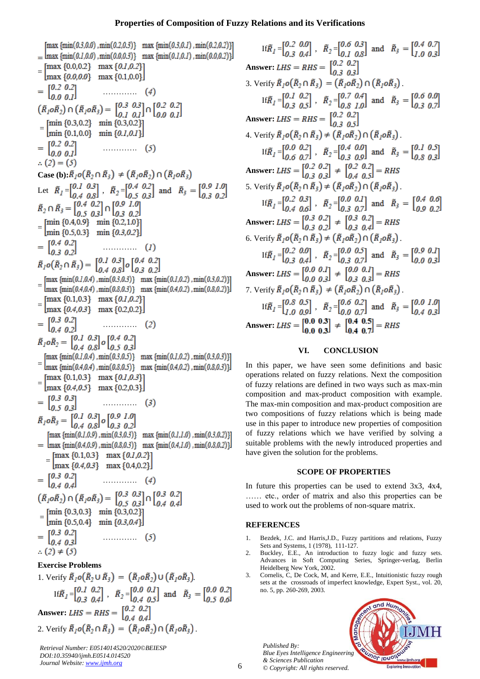### **Properties of Composition of Fuzzy Relations and its Verifications**

[max {min(0.3,0.0) , min(0.2,0.3)} max {min(0.3,0.1) , min(0.2,0.2)}]  $=\text{Imax}\{\min(0.1,0.0),\min(0.0,0.3)\}\$  max  $\{\min(0.1,0.1),\min(0.0,0.2)\}\$  $=\begin{bmatrix} \max\left\{0.0, 0.2\right\} & \max\left\{0.1, 0.2\right\} \\ \max\left\{0.0, 0.0\right\} & \max\left\{0.1, 0.0\right\} \end{bmatrix}$  ………….  $(\tilde{R}_1 \circ \tilde{R}_2) \cap (\tilde{R}_1 \circ \tilde{R}_3) = \begin{bmatrix} 0.3 & 0.3 \\ 0.1 & 0.1 \end{bmatrix} \cap \begin{bmatrix} 0.2 & 0.2 \\ 0.0 & 0.1 \end{bmatrix}$  $=\begin{bmatrix} \min\{0.3, 0.2\} & \min\{0.3, 0.2\} \\ \min\{0.1, 0.0\} & \min\{0.1, 0.1\} \end{bmatrix}$  ………….  $\therefore$  (2) = (5) **Case (b):** $\tilde{R}_1$ o( $\tilde{R}_2 \cap \tilde{R}_3$ )  $\neq (\tilde{R}_1 o \tilde{R}_2) \cap (\tilde{R}_1 o \tilde{R}_3)$ Let  $\tilde{R}_1 = \begin{bmatrix} 0.1 & 0.3 \\ 0.1 & 0.8 \end{bmatrix}$ ,  $\tilde{R}_2 =$ = ………….  $\tilde{R}_1 o(\tilde{R}_2 \cap \tilde{R}_3) = \begin{bmatrix} 0.1 & 0.3 \\ 0.4 & 0.8 \end{bmatrix} o \begin{bmatrix} 0.4 & 0.2 \\ 0.3 & 0.2 \end{bmatrix}$  $= \begin{bmatrix} \max \{ \min(0.1, 0.4), \min(0.3, 0.3) \} & \max \{ \min(0.1, 0.2), \min(0.3, 0.2) \} \\ \max \{ \min(0.4, 0.4), \min(0.8, 0.3) \} & \max \{ \min(0.4, 0.2), \min(0.8, 0.2) \} \end{bmatrix}$  $=\begin{bmatrix} \max\left\{0.1, 0.3\right\} & \max\left\{0.1, 0.2\right\} \\ \max\left\{0.4, 0.3\right\} & \max\left\{0.2, 0.2\right\} \end{bmatrix}$  ………….  $\tilde{R}_1$ o $\tilde{R}_2 = \begin{bmatrix} 0.1 & 0.3 \\ 0.4 & 0.8 \end{bmatrix}$ o  $\begin{bmatrix} 0.4 & 0.2 \\ 0.5 & 0.3 \end{bmatrix}$  ${\rm max}$  { $\min(0.1, 0.4)$ ,  $\min(0.3, 0.5)$ }  $\max$  { $\min(0.1, 0.2)$ ,  $\min(0.3, 0.3)$ }} =  $\lim_{\alpha \to 0}$  {min(0.4,0.4), min(0.8,0.5)} max {min(0.4,0.2), min(0.8,0.3)}  $=\begin{bmatrix} \max\left\{0.1, 0.3\right\} & \max\left\{0.1, 0.3\right\} \\ \max\left\{0.4, 0.5\right\} & \max\left\{0.2, 0.3\right\} \end{bmatrix}$  ………….  $\tilde{R}_1 o \tilde{R}_3 = \begin{bmatrix} 0.1 & 0.3 \\ 0.4 & 0.8 \end{bmatrix} o \begin{bmatrix} 0.9 & 1.0 \\ 0.3 & 0.2 \end{bmatrix}$  ${\rm max}$  { $\min(0.1, 0.9)$ ,  $\min(0.3, 0.3)$ }  $\max$  { $\min(0.1, 1.0)$ ,  $\min(0.3, 0.2)$ } =  $\text{Imax } \{\min(0.4, 0.9), \min(0.8, 0.3)\}$  max  $\{\min(0.4, 1.0), \min(0.8, 0.2)\}\$  $= \begin{bmatrix} \max\{0.1, 0.3\} & \max\{0.1, 0.2\} \\ \max\{0.4, 0.3\} & \max\{0.4, 0.2\} \end{bmatrix}$  $= \begin{bmatrix} 0.3 & 0.2 \\ 0.4 & 0.4 \end{bmatrix}$  (4)  $(\tilde{R}_1 \circ \tilde{R}_2) \cap (\tilde{R}_1 \circ \tilde{R}_3) = \begin{bmatrix} 0.3 & 0.3 \\ 0.5 & 0.3 \end{bmatrix} \cap \begin{bmatrix} 0.3 & 0.2 \\ 0.4 & 0.4 \end{bmatrix}$  $=\begin{bmatrix} \min\{0.3, 0.3\} & \min\{0.3, 0.2\} \\ \min\{0.5, 0.4\} & \min\{0.3, 0.4\} \end{bmatrix}$  ………….  $\therefore$  (2)  $\neq$  (5) **Exercise Problems**

1. Verify  $\tilde{R}_1 o(\tilde{R}_2 \cup \tilde{R}_3) = (\tilde{R}_1 o \tilde{R}_2) \cup (\tilde{R}_1 o \tilde{R}_3)$ . If  $\tilde{R}_1 = \begin{bmatrix} 0.1 & 0.2 \\ 0.3 & 0.4 \end{bmatrix}$ ,  $\tilde{R}_2 = \begin{bmatrix} 0.0 & 0.1 \\ 0.4 & 0.5 \end{bmatrix}$  and  $\tilde{R}_3 = \begin{bmatrix} 0.0 & 0.2 \\ 0.5 & 0.6 \end{bmatrix}$ **Answer:** *LHS* = *RHS* =  $\begin{bmatrix} 0.2 & 0.2 \\ 0.4 & 0.4 \end{bmatrix}$ 2. Verify  $\tilde{R}_1 o(\tilde{R}_2 \cap \tilde{R}_3) = (\tilde{R}_1 o \tilde{R}_2) \cap (\tilde{R}_1 o \tilde{R}_3)$ .

*Retrieval Number: E0514014520/2020©BEIESP DOI:10.35940/ijmh.E0514.014520 Journal Website[: www.ijmh.org](http://www.ijmh.org/)*

If  $\tilde{R}_1 = \begin{bmatrix} 0.2 & 0.0 \\ 0.3 & 0.4 \end{bmatrix}$ ,  $\tilde{R}_2 = \begin{bmatrix} 0.6 & 0.3 \\ 0.1 & 0.8 \end{bmatrix}$  and  $\tilde{R}_3 = \begin{bmatrix} 0.4 & 0.7 \\ 1.0 & 0.3 \end{bmatrix}$ **Answer:** *LHS* = *RHS* =  $\begin{bmatrix} 0.2 & 0.2 \\ 0 & 3 & 0.3 \end{bmatrix}$ 3. Verify  $\tilde{R}_1 o(\tilde{R}_2 \cap \tilde{R}_3) = (\tilde{R}_1 o \tilde{R}_2) \cap (\tilde{R}_1 o \tilde{R}_3)$ . If  $\tilde{R}_1 = \begin{bmatrix} 0.1 & 0.2 \\ 0.3 & 0.5 \end{bmatrix}$ ,  $\tilde{R}_2 = \begin{bmatrix} 0.7 & 0.4 \\ 0.8 & 1.0 \end{bmatrix}$  and  $\tilde{R}_3 = \begin{bmatrix} 0.6 & 0.0 \\ 0.3 & 0.7 \end{bmatrix}$ **Answer:** *LHS* = *RHS* =  $\begin{bmatrix} 0.2 & 0.2 \\ 0.3 & 0.5 \end{bmatrix}$ 4. Verify  $\tilde{R}_1 o(\tilde{R}_2 \cap \tilde{R}_3) \neq (\tilde{R}_1 o \tilde{R}_2) \cap (\tilde{R}_1 o \tilde{R}_3)$ . If  $\tilde{R}_1 = \begin{bmatrix} 0.0 & 0.2 \\ 0.6 & 0.7 \end{bmatrix}$ ,  $\tilde{R}_2 = \begin{bmatrix} 0.4 & 0.0 \\ 0.3 & 0.0 \end{bmatrix}$  and  $\tilde{R}_3 = \begin{bmatrix} 0.1 & 0.5 \\ 0.8 & 0.3 \end{bmatrix}$ **Answer:** *LHS* =  $\begin{bmatrix} 0.2 & 0.2 \\ 0.3 & 0.3 \end{bmatrix}$  =  $\begin{bmatrix} 0.2 & 0.2 \\ 0.4 & 0.5 \end{bmatrix}$  = *RHS* 5. Verify  $\tilde{R}_1 o(\tilde{R}_2 \cap \tilde{R}_3) \neq (\tilde{R}_1 o \tilde{R}_2) \cap (\tilde{R}_1 o \tilde{R}_3)$ . If  $\tilde{R}_1 = \begin{bmatrix} 0.2 & 0.3 \\ 0.4 & 0.6 \end{bmatrix}$ ,  $\tilde{R}_2 = \begin{bmatrix} 0.0 & 0.1 \\ 0.3 & 0.7 \end{bmatrix}$  and  $\tilde{R}_3 = \begin{bmatrix} 0.4 & 0.0 \\ 0.9 & 0.2 \end{bmatrix}$ **Answer:** *LHS* =  $\begin{bmatrix} 0.3 & 0.2 \\ 0.3 & 0.2 \end{bmatrix}$  =  $\begin{bmatrix} 0.3 & 0.2 \\ 0.3 & 0.4 \end{bmatrix}$  = RHS 6. Verify  $\tilde{R}_1 \circ (\tilde{R}_2 \cap \tilde{R}_3) \neq (\tilde{R}_1 \circ \tilde{R}_2) \cap (\tilde{R}_1 \circ \tilde{R}_3)$ If  $\tilde{R}_1 = \begin{bmatrix} 0.2 & 0.0 \\ 0.3 & 0.4 \end{bmatrix}$ ,  $\tilde{R}_2 = \begin{bmatrix} 0.0 & 0.5 \\ 0.3 & 0.7 \end{bmatrix}$  and  $\tilde{R}_3 = \begin{bmatrix} 0.9 & 0.1 \\ 0.0 & 0.3 \end{bmatrix}$ **Answer:** *LHS* =  $\begin{bmatrix} 0.0 & 0.1 \\ 0.0 & 0.3 \end{bmatrix}$  =  $\begin{bmatrix} 0.0 & 0.1 \\ 0.3 & 0.3 \end{bmatrix}$  = RHS 7. Verify  $\tilde{R}_1 o(\tilde{R}_2 \cap \tilde{R}_3) \neq (\tilde{R}_1 o \tilde{R}_2) \cap (\tilde{R}_1 o \tilde{R}_3)$ If  $\tilde{R}_1 = \begin{bmatrix} 0.8 & 0.5 \\ 1 & 0 & 0.0 \end{bmatrix}$ ,  $\tilde{R}_2 = \begin{bmatrix} 0.6 & 0.2 \\ 0 & 0 & 0.7 \end{bmatrix}$  and  $\tilde{R}_3 = \begin{bmatrix} 0.0 & 1.0 \\ 0.4 & 0.3 \end{bmatrix}$ **Answer:** *LHS* =  $\begin{bmatrix} 0.0 & 0.3 \\ 0.0 & 0.3 \end{bmatrix}$   $\neq \begin{bmatrix} 0.4 & 0.5 \\ 0.4 & 0.7 \end{bmatrix}$  = *RHS* 

#### **VI. CONCLUSION**

In this paper, we have seen some definitions and basic operations related on fuzzy relations. Next the composition of fuzzy relations are defined in two ways such as max-min composition and max-product composition with example. The max-min composition and max-product composition are two compositions of fuzzy relations which is being made use in this paper to introduce new properties of composition of fuzzy relations which we have verified by solving a suitable problems with the newly introduced properties and have given the solution for the problems.

#### **SCOPE OF PROPERTIES**

In future this properties can be used to extend 3x3, 4x4, …… etc., order of matrix and also this properties can be used to work out the problems of non-square matrix.

#### **REFERENCES**

- 1. Bezdek, J.C. and Harris,J.D., Fuzzy partitions and relations, Fuzzy Sets and Systems, 1 (1978), 111-127.
- 2. Buckley, E.E., An introduction to fuzzy logic and fuzzy sets. Advances in Soft Computing Series, Springer-verlag, Berlin Heidelberg New York, 2002.
- 3. Cornelis, C, De Cock, M, and Kerre, E.E., Intuitionistic fuzzy rough sets at the crossroads of imperfect knowledge, Expert Syst., vol. 20, no. 5, pp. 260-269, 2003.